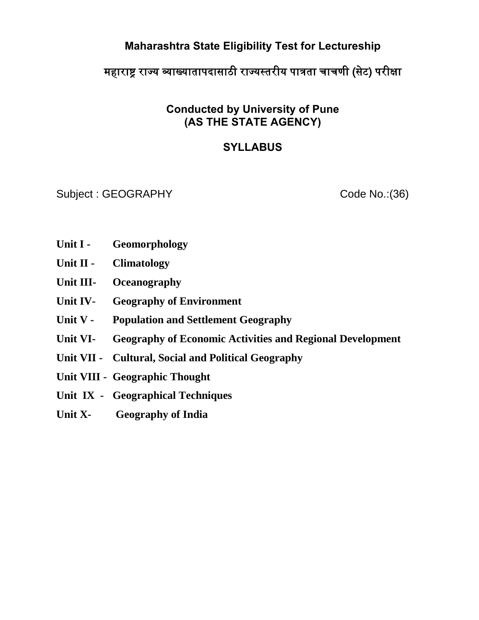# **Maharashtra State Eligibility Test for Lectureship**

# महाराष्ट्र राज्य व्याख्यातापदासाठी राज्यस्तरीय पात्रता चाचणी (सेट) परीक्षा

## **Conducted by University of Pune (AS THE STATE AGENCY)**

# **SYLLABUS**

Subject : GEOGRAPHY Code No.: (36)

- Unit I Geomorphology
- **Unit II Climatology**
- **Unit III- Oceanography**
- **Unit IV- Geography of Environment**
- **Unit V Population and Settlement Geography**
- **Unit VI- Geography of Economic Activities and Regional Development**
- **Unit VII Cultural, Social and Political Geography**
- **Unit VIII Geographic Thought**
- **Unit IX Geographical Techniques**
- **Unit X- Geography of India**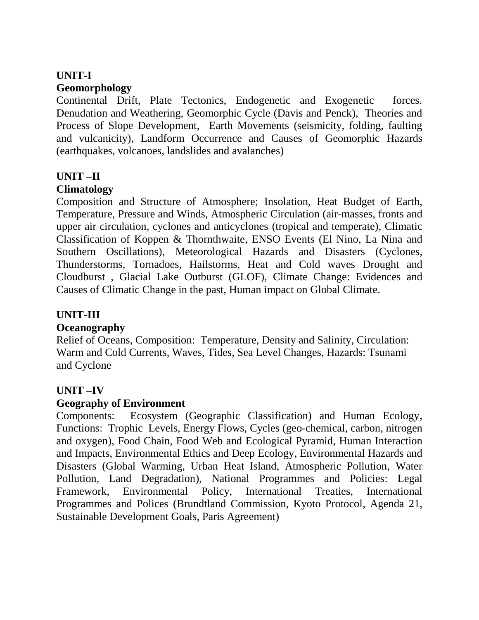#### **UNIT-I Geomorphology**

Continental Drift, Plate Tectonics, Endogenetic and Exogenetic forces. Denudation and Weathering, Geomorphic Cycle (Davis and Penck), Theories and Process of Slope Development, Earth Movements (seismicity, folding, faulting and vulcanicity), Landform Occurrence and Causes of Geomorphic Hazards (earthquakes, volcanoes, landslides and avalanches)

# **UNIT –II**

## **Climatology**

Composition and Structure of Atmosphere; Insolation, Heat Budget of Earth, Temperature, Pressure and Winds, Atmospheric Circulation (air-masses, fronts and upper air circulation, cyclones and anticyclones (tropical and temperate), Climatic Classification of Koppen & Thornthwaite, ENSO Events (El Nino, La Nina and Southern Oscillations), Meteorological Hazards and Disasters (Cyclones, Thunderstorms, Tornadoes, Hailstorms, Heat and Cold waves Drought and Cloudburst , Glacial Lake Outburst (GLOF), Climate Change: Evidences and Causes of Climatic Change in the past, Human impact on Global Climate.

## **UNIT-III**

## **Oceanography**

Relief of Oceans, Composition: Temperature, Density and Salinity, Circulation: Warm and Cold Currents, Waves, Tides, Sea Level Changes, Hazards: Tsunami and Cyclone

## **UNIT –IV**

## **Geography of Environment**

Components: Ecosystem (Geographic Classification) and Human Ecology, Functions: Trophic Levels, Energy Flows, Cycles (geo-chemical, carbon, nitrogen and oxygen), Food Chain, Food Web and Ecological Pyramid, Human Interaction and Impacts, Environmental Ethics and Deep Ecology, Environmental Hazards and Disasters (Global Warming, Urban Heat Island, Atmospheric Pollution, Water Pollution, Land Degradation), National Programmes and Policies: Legal Framework, Environmental Policy, International Treaties, International Programmes and Polices (Brundtland Commission, Kyoto Protocol, Agenda 21, Sustainable Development Goals, Paris Agreement)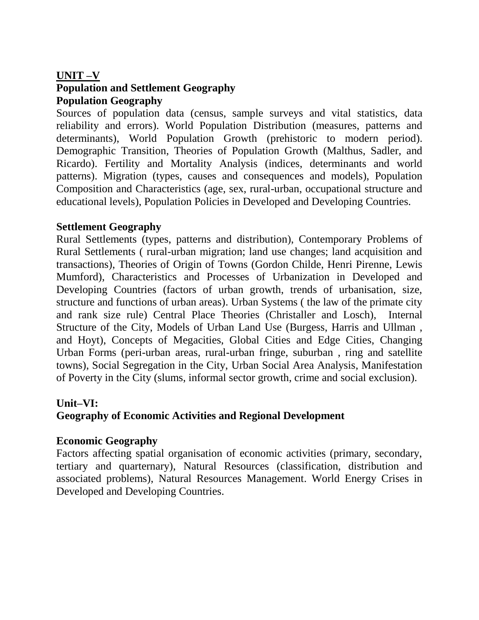#### **UNIT –V**

## **Population and Settlement Geography Population Geography**

Sources of population data (census, sample surveys and vital statistics, data reliability and errors). World Population Distribution (measures, patterns and determinants), World Population Growth (prehistoric to modern period). Demographic Transition, Theories of Population Growth (Malthus, Sadler, and Ricardo). Fertility and Mortality Analysis (indices, determinants and world patterns). Migration (types, causes and consequences and models), Population Composition and Characteristics (age, sex, rural-urban, occupational structure and educational levels), Population Policies in Developed and Developing Countries.

### **Settlement Geography**

Rural Settlements (types, patterns and distribution), Contemporary Problems of Rural Settlements ( rural-urban migration; land use changes; land acquisition and transactions), Theories of Origin of Towns (Gordon Childe, Henri Pirenne, Lewis Mumford), Characteristics and Processes of Urbanization in Developed and Developing Countries (factors of urban growth, trends of urbanisation, size, structure and functions of urban areas). Urban Systems ( the law of the primate city and rank size rule) Central Place Theories (Christaller and Losch), Internal Structure of the City, Models of Urban Land Use (Burgess, Harris and Ullman , and Hoyt), Concepts of Megacities, Global Cities and Edge Cities, Changing Urban Forms (peri-urban areas, rural-urban fringe, suburban , ring and satellite towns), Social Segregation in the City, Urban Social Area Analysis, Manifestation of Poverty in the City (slums, informal sector growth, crime and social exclusion).

### **Unit–VI:**

## **Geography of Economic Activities and Regional Development**

### **Economic Geography**

Factors affecting spatial organisation of economic activities (primary, secondary, tertiary and quarternary), Natural Resources (classification, distribution and associated problems), Natural Resources Management. World Energy Crises in Developed and Developing Countries.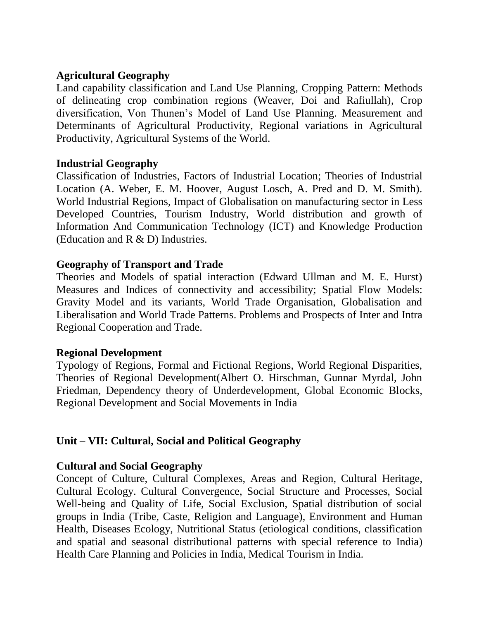## **Agricultural Geography**

Land capability classification and Land Use Planning, Cropping Pattern: Methods of delineating crop combination regions (Weaver, Doi and Rafiullah), Crop diversification, Von Thunen's Model of Land Use Planning. Measurement and Determinants of Agricultural Productivity, Regional variations in Agricultural Productivity, Agricultural Systems of the World.

### **Industrial Geography**

Classification of Industries, Factors of Industrial Location; Theories of Industrial Location (A. Weber, E. M. Hoover, August Losch, A. Pred and D. M. Smith). World Industrial Regions, Impact of Globalisation on manufacturing sector in Less Developed Countries, Tourism Industry, World distribution and growth of Information And Communication Technology (ICT) and Knowledge Production (Education and R & D) Industries.

### **Geography of Transport and Trade**

Theories and Models of spatial interaction (Edward Ullman and M. E. Hurst) Measures and Indices of connectivity and accessibility; Spatial Flow Models: Gravity Model and its variants, World Trade Organisation, Globalisation and Liberalisation and World Trade Patterns. Problems and Prospects of Inter and Intra Regional Cooperation and Trade.

#### **Regional Development**

Typology of Regions, Formal and Fictional Regions, World Regional Disparities, Theories of Regional Development(Albert O. Hirschman, Gunnar Myrdal, John Friedman, Dependency theory of Underdevelopment, Global Economic Blocks, Regional Development and Social Movements in India

### **Unit – VII: Cultural, Social and Political Geography**

### **Cultural and Social Geography**

Concept of Culture, Cultural Complexes, Areas and Region, Cultural Heritage, Cultural Ecology. Cultural Convergence, Social Structure and Processes, Social Well-being and Quality of Life, Social Exclusion, Spatial distribution of social groups in India (Tribe, Caste, Religion and Language), Environment and Human Health, Diseases Ecology, Nutritional Status (etiological conditions, classification and spatial and seasonal distributional patterns with special reference to India) Health Care Planning and Policies in India, Medical Tourism in India.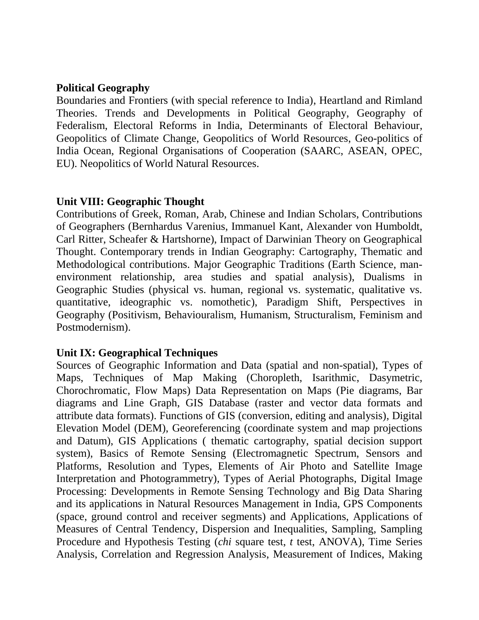#### **Political Geography**

Boundaries and Frontiers (with special reference to India), Heartland and Rimland Theories. Trends and Developments in Political Geography, Geography of Federalism, Electoral Reforms in India, Determinants of Electoral Behaviour, Geopolitics of Climate Change, Geopolitics of World Resources, Geo-politics of India Ocean, Regional Organisations of Cooperation (SAARC, ASEAN, OPEC, EU). Neopolitics of World Natural Resources.

### **Unit VIII: Geographic Thought**

Contributions of Greek, Roman, Arab, Chinese and Indian Scholars, Contributions of Geographers (Bernhardus Varenius, Immanuel Kant, Alexander von Humboldt, Carl Ritter, Scheafer & Hartshorne), Impact of Darwinian Theory on Geographical Thought. Contemporary trends in Indian Geography: Cartography, Thematic and Methodological contributions. Major Geographic Traditions (Earth Science, manenvironment relationship, area studies and spatial analysis), Dualisms in Geographic Studies (physical vs. human, regional vs. systematic, qualitative vs. quantitative, ideographic vs. nomothetic), Paradigm Shift, Perspectives in Geography (Positivism, Behaviouralism, Humanism, Structuralism, Feminism and Postmodernism).

### **Unit IX: Geographical Techniques**

Sources of Geographic Information and Data (spatial and non-spatial), Types of Maps, Techniques of Map Making (Choropleth, Isarithmic, Dasymetric, Chorochromatic, Flow Maps) Data Representation on Maps (Pie diagrams, Bar diagrams and Line Graph, GIS Database (raster and vector data formats and attribute data formats). Functions of GIS (conversion, editing and analysis), Digital Elevation Model (DEM), Georeferencing (coordinate system and map projections and Datum), GIS Applications ( thematic cartography, spatial decision support system), Basics of Remote Sensing (Electromagnetic Spectrum, Sensors and Platforms, Resolution and Types, Elements of Air Photo and Satellite Image Interpretation and Photogrammetry), Types of Aerial Photographs, Digital Image Processing: Developments in Remote Sensing Technology and Big Data Sharing and its applications in Natural Resources Management in India, GPS Components (space, ground control and receiver segments) and Applications, Applications of Measures of Central Tendency, Dispersion and Inequalities, Sampling, Sampling Procedure and Hypothesis Testing (*chi* square test, *t* test, ANOVA), Time Series Analysis, Correlation and Regression Analysis, Measurement of Indices, Making